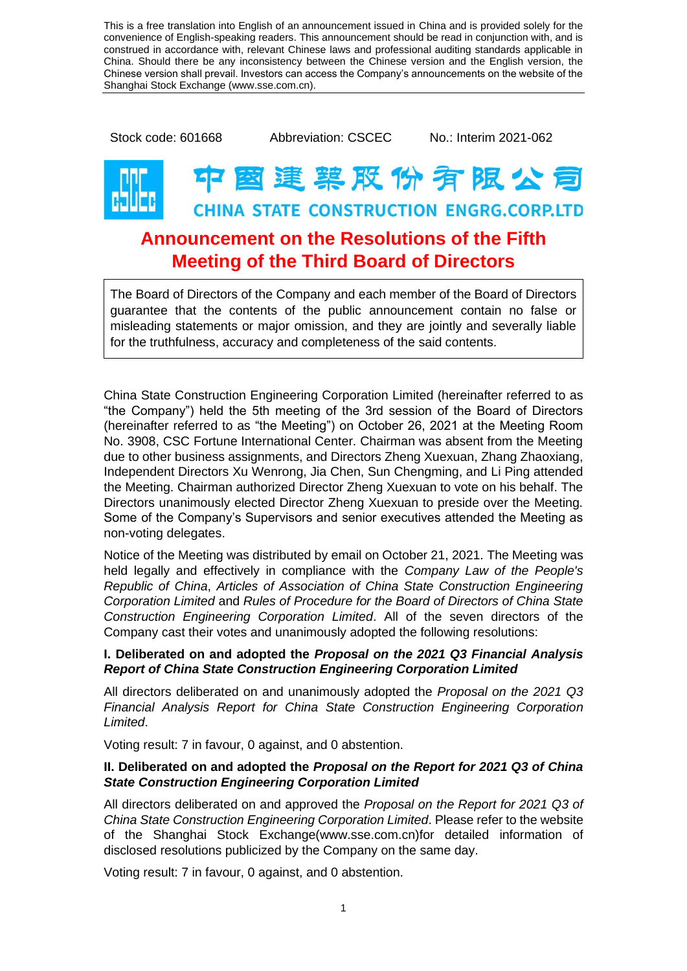This is a free translation into English of an announcement issued in China and is provided solely for the convenience of English-speaking readers. This announcement should be read in conjunction with, and is construed in accordance with, relevant Chinese laws and professional auditing standards applicable in China. Should there be any inconsistency between the Chinese version and the English version, the Chinese version shall prevail. Investors can access the Company's announcements on the website of the Shanghai Stock Exchange (www.sse.com.cn).

Stock code: 601668 Abbreviation: CSCEC No.: Interim 2021-062

## **暨建菜股份有限公司 CHINA STATE CONSTRUCTION ENGRG.CORP.LTD Announcement on the Resolutions of the Fifth**

# **Meeting of the Third Board of Directors**

The Board of Directors of the Company and each member of the Board of Directors guarantee that the contents of the public announcement contain no false or misleading statements or major omission, and they are jointly and severally liable for the truthfulness, accuracy and completeness of the said contents.

China State Construction Engineering Corporation Limited (hereinafter referred to as "the Company") held the 5th meeting of the 3rd session of the Board of Directors (hereinafter referred to as "the Meeting") on October 26, 2021 at the Meeting Room No. 3908, CSC Fortune International Center. Chairman was absent from the Meeting due to other business assignments, and Directors Zheng Xuexuan, Zhang Zhaoxiang, Independent Directors Xu Wenrong, Jia Chen, Sun Chengming, and Li Ping attended the Meeting. Chairman authorized Director Zheng Xuexuan to vote on his behalf. The Directors unanimously elected Director Zheng Xuexuan to preside over the Meeting. Some of the Company's Supervisors and senior executives attended the Meeting as non-voting delegates.

Notice of the Meeting was distributed by email on October 21, 2021. The Meeting was held legally and effectively in compliance with the *Company Law of the People's Republic of China*, *Articles of Association of China State Construction Engineering Corporation Limited* and *Rules of Procedure for the Board of Directors of China State Construction Engineering Corporation Limited*. All of the seven directors of the Company cast their votes and unanimously adopted the following resolutions:

### **I. Deliberated on and adopted the** *Proposal on the 2021 Q3 Financial Analysis Report of China State Construction Engineering Corporation Limited*

All directors deliberated on and unanimously adopted the *Proposal on the 2021 Q3 Financial Analysis Report for China State Construction Engineering Corporation Limited*.

Voting result: 7 in favour, 0 against, and 0 abstention.

#### **II. Deliberated on and adopted the** *Proposal on the Report for 2021 Q3 of China State Construction Engineering Corporation Limited*

All directors deliberated on and approved the *Proposal on the Report for 2021 Q3 of China State Construction Engineering Corporation Limited*. Please refer to the website of the Shanghai Stock Exchange[\(www.sse.com.cn\)](http://www.sse.com.cn/)for detailed information of disclosed resolutions publicized by the Company on the same day.

Voting result: 7 in favour, 0 against, and 0 abstention.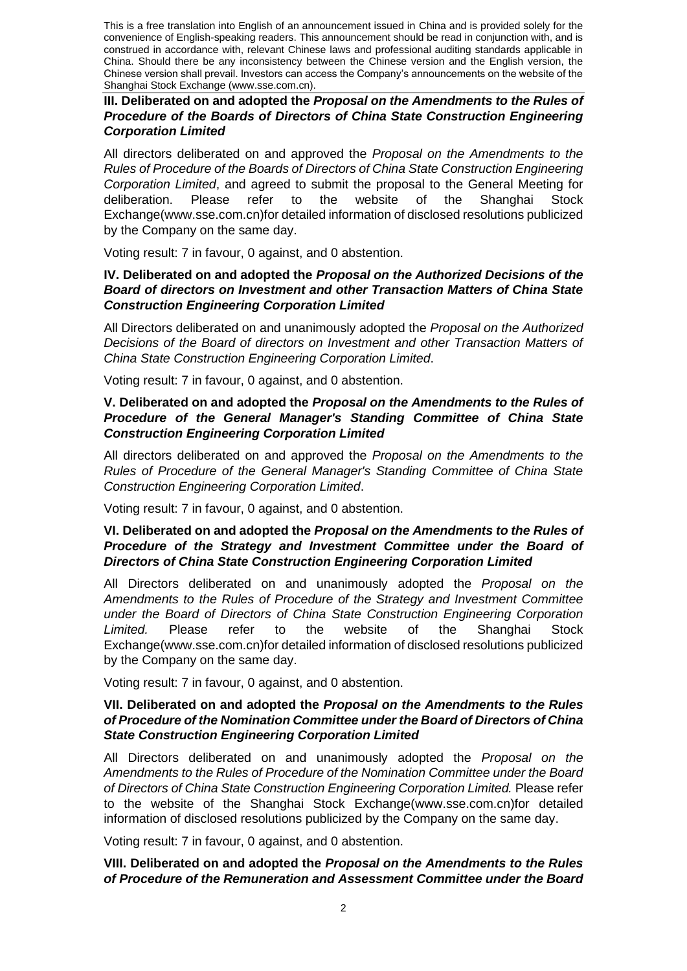This is a free translation into English of an announcement issued in China and is provided solely for the convenience of English-speaking readers. This announcement should be read in conjunction with, and is construed in accordance with, relevant Chinese laws and professional auditing standards applicable in China. Should there be any inconsistency between the Chinese version and the English version, the Chinese version shall prevail. Investors can access the Company's announcements on the website of the Shanghai Stock Exchange (www.sse.com.cn).

**III. Deliberated on and adopted the** *Proposal on the Amendments to the Rules of Procedure of the Boards of Directors of China State Construction Engineering Corporation Limited*

All directors deliberated on and approved the *Proposal on the Amendments to the Rules of Procedure of the Boards of Directors of China State Construction Engineering Corporation Limited*, and agreed to submit the proposal to the General Meeting for deliberation. Please refer to the website of the Shanghai Stock Exchange[\(www.sse.com.cn\)](http://www.sse.com.cn/)for detailed information of disclosed resolutions publicized by the Company on the same day.

Voting result: 7 in favour, 0 against, and 0 abstention.

#### **IV. Deliberated on and adopted the** *Proposal on the Authorized Decisions of the Board of directors on Investment and other Transaction Matters of China State Construction Engineering Corporation Limited*

All Directors deliberated on and unanimously adopted the *Proposal on the Authorized Decisions of the Board of directors on Investment and other Transaction Matters of China State Construction Engineering Corporation Limited*.

Voting result: 7 in favour, 0 against, and 0 abstention.

#### **V. Deliberated on and adopted the** *Proposal on the Amendments to the Rules of Procedure of the General Manager's Standing Committee of China State Construction Engineering Corporation Limited*

All directors deliberated on and approved the *Proposal on the Amendments to the Rules of Procedure of the General Manager's Standing Committee of China State Construction Engineering Corporation Limited*.

Voting result: 7 in favour, 0 against, and 0 abstention.

#### **VI. Deliberated on and adopted the** *Proposal on the Amendments to the Rules of Procedure of the Strategy and Investment Committee under the Board of Directors of China State Construction Engineering Corporation Limited*

All Directors deliberated on and unanimously adopted the *Proposal on the Amendments to the Rules of Procedure of the Strategy and Investment Committee under the Board of Directors of China State Construction Engineering Corporation Limited.* Please refer to the website of the Shanghai Stock Exchange[\(www.sse.com.cn\)](http://www.sse.com.cn/)for detailed information of disclosed resolutions publicized by the Company on the same day.

Voting result: 7 in favour, 0 against, and 0 abstention.

#### **VII. Deliberated on and adopted the** *Proposal on the Amendments to the Rules of Procedure of the Nomination Committee under the Board of Directors of China State Construction Engineering Corporation Limited*

All Directors deliberated on and unanimously adopted the *Proposal on the Amendments to the Rules of Procedure of the Nomination Committee under the Board of Directors of China State Construction Engineering Corporation Limited.* Please refer to the website of the Shanghai Stock Exchange[\(www.sse.com.cn\)](http://www.sse.com.cn/)for detailed information of disclosed resolutions publicized by the Company on the same day.

Voting result: 7 in favour, 0 against, and 0 abstention.

#### **VIII. Deliberated on and adopted the** *Proposal on the Amendments to the Rules of Procedure of the Remuneration and Assessment Committee under the Board*